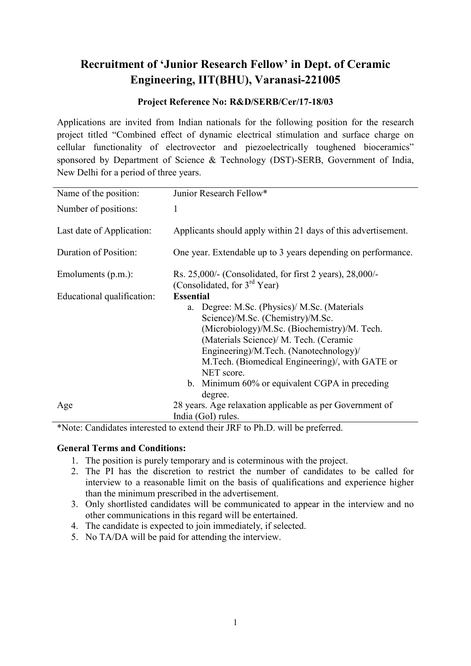## Recruitment of 'Junior Research Fellow' in Dept. of Ceramic Engineering, IIT(BHU), Varanasi-221005

## Project Reference No: R&D/SERB/Cer/17-18/03

Applications are invited from Indian nationals for the following position for the research project titled "Combined effect of dynamic electrical stimulation and surface charge on cellular functionality of electrovector and piezoelectrically toughened bioceramics" sponsored by Department of Science & Technology (DST)-SERB, Government of India, New Delhi for a period of three years.

| Name of the position:      | Junior Research Fellow*                                                                                                                                                                                                                                                                                                                                                |
|----------------------------|------------------------------------------------------------------------------------------------------------------------------------------------------------------------------------------------------------------------------------------------------------------------------------------------------------------------------------------------------------------------|
| Number of positions:       | 1                                                                                                                                                                                                                                                                                                                                                                      |
| Last date of Application:  | Applicants should apply within 21 days of this advertisement.                                                                                                                                                                                                                                                                                                          |
| Duration of Position:      | One year. Extendable up to 3 years depending on performance.                                                                                                                                                                                                                                                                                                           |
| Emoluments (p.m.):         | Rs. 25,000/- (Consolidated, for first 2 years), 28,000/-<br>(Consolidated, for 3 <sup>rd</sup> Year)                                                                                                                                                                                                                                                                   |
| Educational qualification: | <b>Essential</b><br>a. Degree: M.Sc. (Physics)/ M.Sc. (Materials<br>Science)/M.Sc. (Chemistry)/M.Sc.<br>(Microbiology)/M.Sc. (Biochemistry)/M. Tech.<br>(Materials Science)/ M. Tech. (Ceramic<br>Engineering)/M.Tech. (Nanotechnology)/<br>M.Tech. (Biomedical Engineering)/, with GATE or<br>NET score.<br>b. Minimum 60% or equivalent CGPA in preceding<br>degree. |
| Age                        | 28 years. Age relaxation applicable as per Government of<br>India (GoI) rules.                                                                                                                                                                                                                                                                                         |

\*Note: Candidates interested to extend their JRF to Ph.D. will be preferred.

## General Terms and Conditions:

- 1. The position is purely temporary and is coterminous with the project.
- 2. The PI has the discretion to restrict the number of candidates to be called for interview to a reasonable limit on the basis of qualifications and experience higher than the minimum prescribed in the advertisement.
- 3. Only shortlisted candidates will be communicated to appear in the interview and no other communications in this regard will be entertained.
- 4. The candidate is expected to join immediately, if selected.
- 5. No TA/DA will be paid for attending the interview.